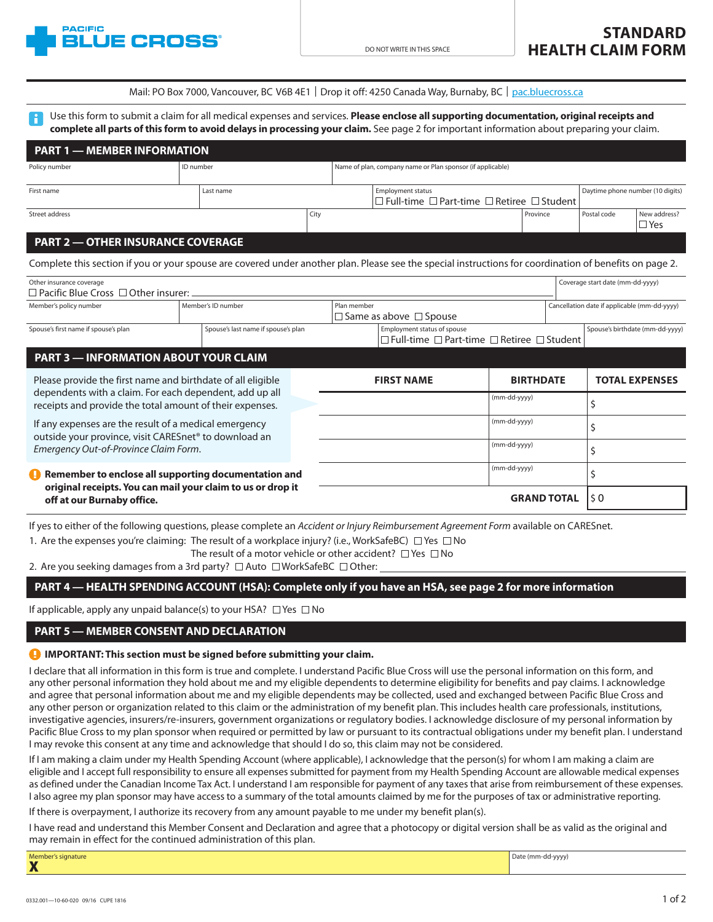

|  | Mail: PO Box 7000, Vancouver, BC V6B 4E1   Drop it off: 4250 Canada Way, Burnaby, BC   pac.bluecross.ca |  |
|--|---------------------------------------------------------------------------------------------------------|--|
|--|---------------------------------------------------------------------------------------------------------|--|

Use this form to submit a claim for all medical expenses and services. **Please enclose all supporting documentation, original receipts and complete all parts of this form to avoid delays in processing your claim.** See page 2 for important information about preparing your claim.

| <b>PART 1 - MEMBER INFORMATION</b>                                                                                                                      |           |                                     |      |                                                            |                                                                                                |          |                                              |                                  |                                 |
|---------------------------------------------------------------------------------------------------------------------------------------------------------|-----------|-------------------------------------|------|------------------------------------------------------------|------------------------------------------------------------------------------------------------|----------|----------------------------------------------|----------------------------------|---------------------------------|
| Policy number                                                                                                                                           | ID number |                                     |      | Name of plan, company name or Plan sponsor (if applicable) |                                                                                                |          |                                              |                                  |                                 |
| First name                                                                                                                                              |           | Last name                           |      |                                                            | <b>Employment status</b><br>□ Full-time □ Part-time □ Retiree □ Student                        |          |                                              | Daytime phone number (10 digits) |                                 |
| Street address                                                                                                                                          |           |                                     | City |                                                            |                                                                                                | Province |                                              | Postal code                      | New address?<br>$\Box$ Yes      |
| <b>PART 2 - OTHER INSURANCE COVERAGE</b>                                                                                                                |           |                                     |      |                                                            |                                                                                                |          |                                              |                                  |                                 |
| Complete this section if you or your spouse are covered under another plan. Please see the special instructions for coordination of benefits on page 2. |           |                                     |      |                                                            |                                                                                                |          |                                              |                                  |                                 |
| Other insurance coverage<br>$\Box$ Pacific Blue Cross $\Box$ Other insurer: $\Box$                                                                      |           |                                     |      |                                                            |                                                                                                |          |                                              | Coverage start date (mm-dd-yyyy) |                                 |
| Member's policy number                                                                                                                                  |           | Member's ID number                  |      | Plan member<br>$\Box$ Same as above $\Box$ Spouse          |                                                                                                |          | Cancellation date if applicable (mm-dd-yyyy) |                                  |                                 |
| Spouse's first name if spouse's plan                                                                                                                    |           | Spouse's last name if spouse's plan |      |                                                            | Employment status of spouse<br>$\Box$ Full-time $\Box$ Part-time $\Box$ Retiree $\Box$ Student |          |                                              |                                  | Spouse's birthdate (mm-dd-yyyy) |
| <b>PART 3 - INFORMATION ABOUT YOUR CLAIM</b>                                                                                                            |           |                                     |      |                                                            |                                                                                                |          |                                              |                                  |                                 |

| Please provide the first name and birthdate of all eligible<br>dependents with a claim. For each dependent, add up all<br>receipts and provide the total amount of their expenses. |  | <b>FIRST NAME</b> | <b>BIRTHDATE</b>   | <b>TOTAL EXPENSES</b> |
|------------------------------------------------------------------------------------------------------------------------------------------------------------------------------------|--|-------------------|--------------------|-----------------------|
|                                                                                                                                                                                    |  |                   | (mm-dd-yyyy)       |                       |
| If any expenses are the result of a medical emergency<br>outside your province, visit CARESnet <sup>®</sup> to download an                                                         |  |                   | (mm-dd-yyyy)       |                       |
| Emergency Out-of-Province Claim Form.                                                                                                                                              |  |                   | (mm-dd-yyyy)       |                       |
| Remember to enclose all supporting documentation and<br>original receipts. You can mail your claim to us or drop it<br>off at our Burnaby office.                                  |  |                   | (mm-dd-yyyy)       |                       |
|                                                                                                                                                                                    |  |                   | <b>GRAND TOTAL</b> |                       |

[If yes to either of the following questions, please complete an](http://www.caresnet.ca) *Accident or Injury Reimbursement Agreement Form* available on CARESnet.

1. Are the expenses you're claiming: The result of a workplace injury? (i.e., WorkSafeBC)  $\Box$  Yes  $\Box$  No

The result of a motor vehicle or other accident?  $\Box$  Yes  $\Box$  No

2. Are you seeking damages from a 3rd party?  $\Box$  Auto  $\Box$  WorkSafeBC  $\Box$  Other:

#### **PART 4 — HEALTH SPENDING ACCOUNT (HSA): Complete only if you have an HSA, see page 2 for more information**

If applicable, apply any unpaid balance(s) to your HSA?  $\Box$  Yes  $\Box$  No

#### **PART 5 — MEMBER CONSENT AND DECLARATION**

#### **IMPORTANT: This section must be signed before submitting your claim.**

I declare that all information in this form is true and complete. I understand Pacific Blue Cross will use the personal information on this form, and any other personal information they hold about me and my eligible dependents to determine eligibility for benefits and pay claims. I acknowledge and agree that personal information about me and my eligible dependents may be collected, used and exchanged between Pacific Blue Cross and any other person or organization related to this claim or the administration of my benefit plan. This includes health care professionals, institutions, investigative agencies, insurers/re-insurers, government organizations or regulatory bodies. I acknowledge disclosure of my personal information by Pacific Blue Cross to my plan sponsor when required or permitted by law or pursuant to its contractual obligations under my benefit plan. I understand I may revoke this consent at any time and acknowledge that should I do so, this claim may not be considered.

If I am making a claim under my Health Spending Account (where applicable), I acknowledge that the person(s) for whom I am making a claim are eligible and I accept full responsibility to ensure all expenses submitted for payment from my Health Spending Account are allowable medical expenses as defined under the Canadian Income Tax Act. I understand I am responsible for payment of any taxes that arise from reimbursement of these expenses. I also agree my plan sponsor may have access to a summary of the total amounts claimed by me for the purposes of tax or administrative reporting.

If there is overpayment, I authorize its recovery from any amount payable to me under my benefit plan(s).

I have read and understand this Member Consent and Declaration and agree that a photocopy or digital version shall be as valid as the original and may remain in effect for the continued administration of this plan.

| Member's signature       | Date (mm-dd-yyyy) |
|--------------------------|-------------------|
| <b>TAP</b><br>$\sqrt{2}$ |                   |
|                          |                   |